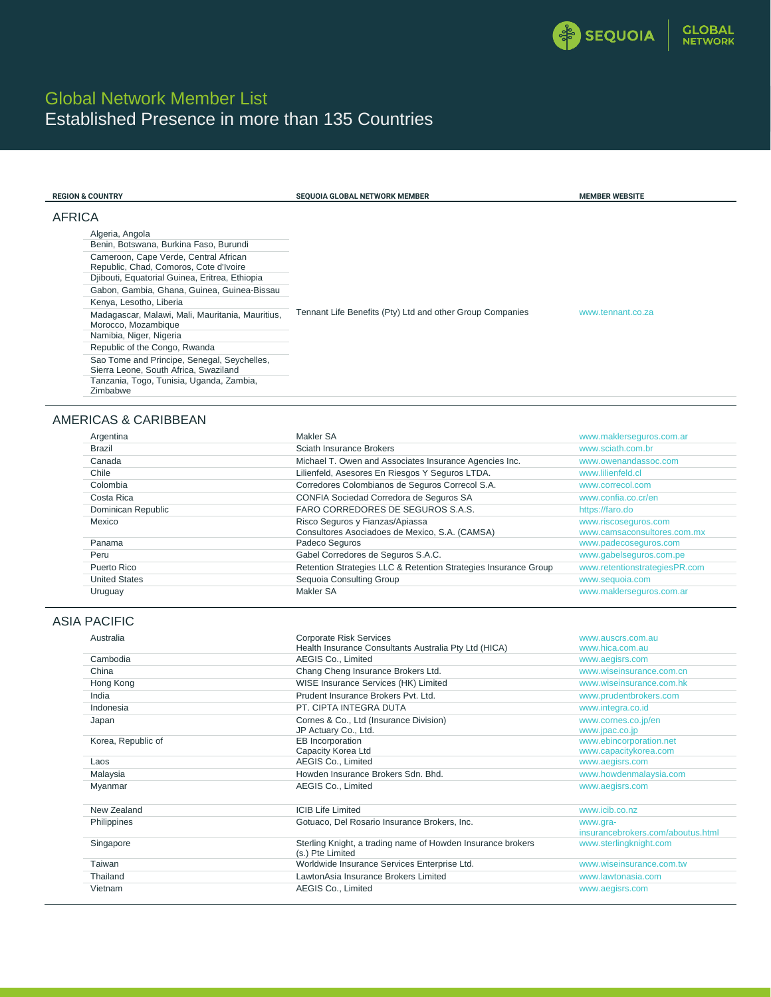

# Global Network Member List Established Presence in more than 135 Countries

| <b>REGION &amp; COUNTRY</b>                                                                                                                                                                              | SEQUOIA GLOBAL NETWORK MEMBER                             | <b>MEMBER WEBSITE</b> |
|----------------------------------------------------------------------------------------------------------------------------------------------------------------------------------------------------------|-----------------------------------------------------------|-----------------------|
| AFRICA<br>Algeria, Angola<br>Benin, Botswana, Burkina Faso, Burundi<br>Cameroon, Cape Verde, Central African<br>Republic, Chad, Comoros, Cote d'Ivoire<br>Djibouti, Equatorial Guinea, Eritrea, Ethiopia | Tennant Life Benefits (Pty) Ltd and other Group Companies |                       |
| Gabon, Gambia, Ghana, Guinea, Guinea-Bissau<br>Kenya, Lesotho, Liberia<br>Madagascar, Malawi, Mali, Mauritania, Mauritius,<br>Morocco, Mozambique<br>Namibia, Niger, Nigeria                             |                                                           | www.tennant.co.za     |
| Republic of the Congo, Rwanda<br>Sao Tome and Principe, Senegal, Seychelles,<br>Sierra Leone, South Africa, Swaziland<br>Tanzania, Togo, Tunisia, Uganda, Zambia,<br>Zimbabwe                            |                                                           |                       |

## AMERICAS & CARIBBEAN

| Argentina            | Makler SA                                                       | www.maklerseguros.com.ar      |
|----------------------|-----------------------------------------------------------------|-------------------------------|
| Brazil               | Sciath Insurance Brokers                                        | www.sciath.com.br             |
| Canada               | Michael T. Owen and Associates Insurance Agencies Inc.          | www.owenandassoc.com          |
| Chile                | Lilienfeld, Asesores En Riesgos Y Seguros LTDA.                 | www.lilienfeld.cl             |
| Colombia             | Corredores Colombianos de Seguros Correcol S.A.                 | www.correcol.com              |
| Costa Rica           | CONFIA Sociedad Corredora de Seguros SA                         | www.confia.co.cr/en           |
| Dominican Republic   | FARO CORREDORES DE SEGUROS S.A.S.                               | https://faro.do               |
| Mexico               | Risco Seguros y Fianzas/Apiassa                                 | www.riscoseguros.com          |
|                      | Consultores Asociadoes de Mexico, S.A. (CAMSA)                  | www.camsaconsultores.com.mx   |
| Panama               | Padeco Seguros                                                  | www.padecoseguros.com         |
| Peru                 | Gabel Corredores de Seguros S.A.C.                              | www.qabelsequros.com.pe       |
| Puerto Rico          | Retention Strategies LLC & Retention Strategies Insurance Group | www.retentionstrategiesPR.com |
| <b>United States</b> | Sequoia Consulting Group                                        | www.sequoia.com               |
| Uruguay              | Makler SA                                                       | www.maklerseguros.com.ar      |

#### ASIA PACIFIC

| Australia          | <b>Corporate Risk Services</b>                                                  | www.auscrs.com.au                 |
|--------------------|---------------------------------------------------------------------------------|-----------------------------------|
|                    | Health Insurance Consultants Australia Pty Ltd (HICA)                           | www.hica.com.au                   |
| Cambodia           | AEGIS Co., Limited                                                              | www.aegisrs.com                   |
| China              | Chang Cheng Insurance Brokers Ltd.                                              | www.wiseinsurance.com.cn          |
| Hong Kong          | WISE Insurance Services (HK) Limited                                            | www.wiseinsurance.com.hk          |
| India              | Prudent Insurance Brokers Pvt. Ltd.                                             | www.prudentbrokers.com            |
| Indonesia          | PT. CIPTA INTEGRA DUTA                                                          | www.integra.co.id                 |
| Japan              | Cornes & Co., Ltd (Insurance Division)                                          | www.cornes.co.jp/en               |
|                    | JP Actuary Co., Ltd.                                                            | www.jpac.co.jp                    |
| Korea, Republic of | EB Incorporation                                                                | www.ebincorporation.net           |
|                    | Capacity Korea Ltd                                                              | www.capacitykorea.com             |
| Laos               | AEGIS Co., Limited                                                              | www.aegisrs.com                   |
| Malaysia           | Howden Insurance Brokers Sdn. Bhd.                                              | www.howdenmalaysia.com            |
| Myanmar            | AEGIS Co., Limited                                                              | www.aegisrs.com                   |
| New Zealand        | <b>ICIB Life Limited</b>                                                        | www.icib.co.nz                    |
| Philippines        | Gotuaco, Del Rosario Insurance Brokers, Inc.                                    | www.gra-                          |
|                    |                                                                                 | insurancebrokers.com/aboutus.html |
| Singapore          | Sterling Knight, a trading name of Howden Insurance brokers<br>(s.) Pte Limited | www.sterlingknight.com            |
| Taiwan             | Worldwide Insurance Services Enterprise Ltd.                                    | www.wiseinsurance.com.tw          |
| Thailand           | LawtonAsia Insurance Brokers Limited                                            | www.lawtonasia.com                |
| Vietnam            | AEGIS Co., Limited                                                              | www.aegisrs.com                   |